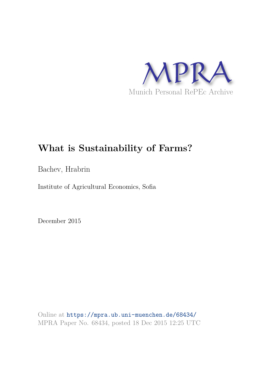

# **What is Sustainability of Farms?**

Bachev, Hrabrin

Institute of Agricultural Economics, Sofia

December 2015

Online at https://mpra.ub.uni-muenchen.de/68434/ MPRA Paper No. 68434, posted 18 Dec 2015 12:25 UTC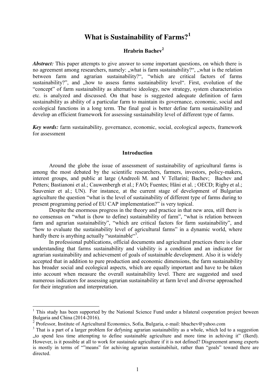# **What is Sustainability of Farms?<sup>1</sup>**

## **Hrabrin Bachev<sup>2</sup>**

*Abstract:* This paper attempts to give answer to some important questions, on which there is no agreement among researchers, namely: "what is farm sustainability?", "what is the relation between farm and agrarian sustainability?", "which are critical factors of farms sustainability?", and "how to assess farms sustainability level". First, evolution of the "concept" of farm sustainability as alternative ideology, new strategy, system characteristics etc. is analyzed and discussed. On that base is suggested adequate definition of farm sustainability as ability of a particular farm to maintain its governance, economic, social and ecological functions in a long term. The final goal is better define farm sustainability and develop an efficient framework for assessing sustainability level of different type of farms.

*Key words:* farm sustainability, governance, economic, social, ecological aspects, framework for assessment

#### **Introduction**

Around the globe the issue of assessment of sustainability of agricultural farms is among the most debated by the scientific researchers, farmers, investors, policy-makers, interest groups, and public at large [\(Andreoli](http://www.sciencedirect.com/science/article/pii/S0167880999000912) M. and [V Tellarini;](http://www.sciencedirect.com/science/article/pii/S0167880999000912) Bachev; Bachev and Petters; [Bastianoni](http://www.sciencedirect.com/science/article/pii/S0959652600000792) et al.; [Cauwenbergh](http://www.sciencedirect.com/science/article/pii/S0167880906003331) et al.; FAO**;** Fuentes; Häni et al. ; OECD; [Rigby](http://www.sciencedirect.com/science/article/pii/S0921800901002452) et al.; Sauvenier et al.; UN). For instance, at the current stage of development of Bulgarian agriculture the question "what is the level of sustainability of different type of farms during to present programing period of EU CAP implementation?" is very topical.

Despite the enormous progress in the theory and practice in that new area, still there is no consensus on "what is (how to define) sustainability of farm", "what is relation between farm and agrarian sustainability", "which are critical factors for farm sustainability", and "how to evaluate the sustainability level of agricultural farms" in a dynamic world, where hardly there is anything actually "sustainable"<sup>3</sup>.

In professional publications, official documents and agricultural practices there is clear understanding that farms sustainability and viability is a condition and an indicator for agrarian sustainability and achievement of goals of sustainable development. Also it is widely accepted that in addition to pure production and economic dimensions, the farm sustainability has broader social and ecological aspects, which are equally important and have to be taken into account when measure the overall sustainability level. There are suggested and used numerous indicators for assessing agrarian sustainability at farm level and diverse approached for their integration and interpretation.

<sup>&</sup>lt;sup>1</sup> This study has been supported by the National Science Fund under a bilateral cooperation project beween Bulgaria and China (2014-2016).

<sup>&</sup>lt;sup>2</sup> Professor, Institute of Agricultural Economics, Sofia, Bulgaria, e-mail: hbachev@yahoo.com

<sup>&</sup>lt;sup>3</sup> That is a part of a larger problem for defyning agrarian sustainability as a whole, which led to a suggestion "to spend less time attempting to define sustainable agriculture and more time in achiving it" (Ikerd). However, is it possible at all to work for sustainale agriculture if it is not defined? Disgreement among experts is mostly in terms of ""means" for achiving agrarian sustainabiluit, rather than "goals" toward there are directed.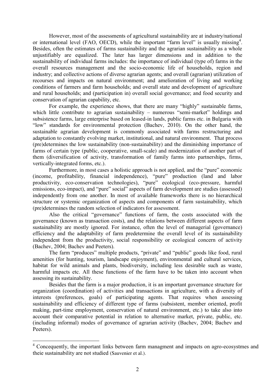However, most of the assessments of agricultural sustainability are at industry/national or international level (FAO, OECD), while the important "farm level" is usually missing<sup>4</sup>. Besides, often the estimates of farms sustainability and the agrarian sustainability as a whole unjustifiably are equalized. The later has larger dimensions and in addition to the sustainability of individual farms includes: the importance of individual (type of) farms in the overall resources management and the socio-economic life of households, region and industry; and collective actions of diverse agrarian agents; and overall (agrarian) utilization of recourses and impacts on natural environment; and amelioration of living and working conditions of farmers and farm households; and overall state and development of agriculture and rural households; and (participation in) overall social governance; and food security and conservation of agrarian capability, etc.

For example, the experience shows, that there are many "highly" sustainable farms, which little contribute to agrarian sustainability – numerous "semi-market" holdings and subsistence farms, large enterprise based on leased-in lands, public farms etc. in Bulgaria with "low" standards for environmental protection (Bachev, 2010). On the other hand, the sustainable agrarian development is commonly associated with farms restructuring and adaptation to constantly evolving market, institutional, and natural environment. That process (pre)determines the low sustainability (non-sustainability) and the diminishing importance of farms of certain type (public, cooperative, small-scale) and modernization of another part of them (diversification of activity, transformation of family farms into partnerships, firms, vertically-integrated forms, etc.).

Furthermore, in most cases a holistic approach is not applied, and the "pure" economic (income, profitability, financial independence), "pure" production (land and labor productivity, eco-conservation technologies), "pure" ecological (eco-pressure, harmful emissions, eco-impact), and "pure" social" aspects of farm development are studies (assessed) independently from one another. In most of available frameworks there is no hierarchical structure or systemic organization of aspects and components of farm sustainability, which (pre)determines the random selection of indicators for assessment.

Also the critical "governance" functions of farm, the costs associated with the governance (known as transaction costs), and the relations between different aspects of farm sustainability are mostly ignored. For instance, often the level of managerial (governance) efficiency and the adaptability of farm predetermine the overall level of its sustainability independent from the productivity, social responsibility or ecological concern of activity (Bachev, 2004; Bachev and Peeters).

The farm "produces" multiple products, "private" and "public" goods like food, rural amenities (for hunting, tourism, landscape enjoyment), environmental and cultural services, habitat for wild animals and plants, biodiversity, including less desirable such as waste, harmful impacts etc. All these functions of the farm have to be taken into account when assessing its sustainability.

Besides that the farm is a major production, it is an important governance structure for organization (coordination) of activities and transactions in agriculture, with a diversity of interests (preferences, goals) of participating agents. That requires when assessing sustainability and efficiency of different type of farms (subsistent, member oriented, profit making, part-time employment, conservation of natural environment, etc.) to take also into account their comparative potential in relation to alternative market, private, public, etc. (including informal) modes of governance of agrarian activity (Bachev, 2004; Bachev and Peeters).

<sup>&</sup>lt;sup>4</sup> Concequently, the important links between farm managment and impacts on agro-ecosystmes and theie sustainability are not studied (Sauvenier et al.).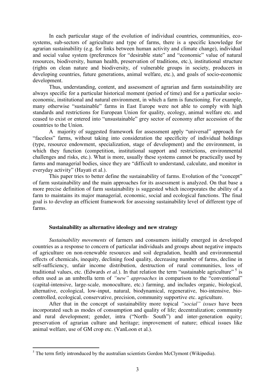In each particular stage of the evolution of individual countries, communities, ecosystems, sub-sectors of agriculture and type of farms, there is a specific knowledge for agrarian sustainability (e.g. for links between human activity and climate change), individual and social value system (preferences for "desirable state" and "economic" value of natural resources, biodiversity, human health, preservation of traditions, etc.), institutional structure (rights on clean nature and biodiversity, of vulnerable groups in society, producers in developing countries, future generations, animal welfare, etc.), and goals of socio-economic development.

Thus, understanding, content, and assessment of agrarian and farm sustainability are always specific for a particular historical moment (period of time) and for a particular socioeconomic, institutional and natural environment, in which a farm is functioning. For example, many otherwise "sustainable" farms in East Europe were not able to comply with high standards and restrictions for European Union for quality, ecology, animal welfare etc. and ceased to exist or entered into "unsustainable" grey sector of economy after accession of the countries to the Union.

A majority of suggested framework for assessment apply "universal" approach for "faceless" farms, without taking into consideration the specificity of individual holdings (type, resource endowment, specialization, stage of development) and the environment, in which they function (competition, institutional support and restrictions, environmental challenges and risks, etc.). What is more, usually these systems cannot be practically used by farms and managerial bodies, since they are "difficult to understand, calculate, and monitor in everyday activity" (Hayati et al.).

This paper tries to better define the sustainability of farms. Evolution of the "concept" of farm sustainability and the main approaches for its assessment is analyzed. On that base a more precise definition of farm sustainability is suggested which incorporates the ability of a farm to maintains its major managerial, economic, social and ecological functions. The final goal is to develop an efficient framework for assessing sustainability level of different type of farms.

#### **Sustainability as alternative ideology and new strategy**

*Sustainability movements* of farmers and consumers initially emerged in developed countries as a response to concern of particular individuals and groups about negative impacts of agriculture on non-renewable resources and soil degradation, health and environmental effects of chemicals, inequity, declining food quality, decreasing number of farms, decline in self-sufficiency, unfair income distribution, destruction of rural communities, loss of traditional values, etc. (Edwards *et al.*). In that relation the term "sustainable agriculture"<sup>5</sup> is often used as an umbrella term of *"new" approaches* in comparison to the "conventional" (capital-intensive, large-scale, monoculture, etc.) farming, and includes organic, biological, alternative, ecological, low-input, natural, biodynamical, regenerative, bio-intensive, biocontrolled, ecological, conservative, precision, community supportive etc. agriculture.

After that in the concept of sustainability more topical *"social" issues* have been incorporated such as modes of consumption and quality of life; decentralization; community and rural development; gender, intra ("North- South") and inter-generation equity; preservation of agrarian culture and heritage; improvement of nature; ethical issues like animal welfare, use of GM crop etc. (VanLoon et al.).

 $<sup>5</sup>$  The term firtly intronduced by the australian scientists Gordon McClymont (Wikipedia).</sup>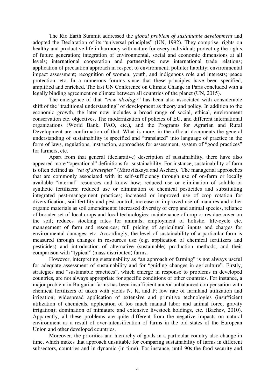The Rio Earth Summit addressed the *global problem of sustainable development* and adopted the Declaration of its "universal principles" (UN, 1992). They comprise: rights on healthy and productive life in harmony with nature for every individual; protecting the rights of future generation; integration of environmental, social and economic dimensions at all levels; international cooperation and partnerships; new international trade relations; application of precaution approach in respect to environment; polluter liability; environmental impact assessment; recognition of women, youth, and indigenous role and interests; peace protection, etc. In a numerous forums since that these principles have been specified, amplified and enriched. The last UN Conference on Climate Change in Paris concluded with a legally binding agreement on climate between all countries of the planet (UN, 2015).

The emergence of that *"new ideology"* has been also associated with considerable shift of the "traditional understanding" of development as theory and policy. In addition to the economic growth, the later now includes a broad range of social, ethical, environment conservation etc. objectives. The modernization of policies of EU, and different international organizations (World Bank, FAO, etc.), and the Programs for Agrarian and Rural Development are confirmation of that. What is more, in the official documents the general understanding of sustainability is specified and "translated" into language of practice in the form of laws, regulations, instruction, approaches for assessment, system of "good practices" for farmers, etc.

Apart from that general (declarative) description of sustainability, there have also appeared more "operational" definitions for sustainability. For instance, sustainability of farm is often defined as *"set of strategies"* (Mirovitskaya and Ascher). The managerial approaches that are commonly associated with it: self-sufficiency through use of on-farm or locally available "internal" resources and know how; reduced use or elimination of soluble or synthetic fertilizers; reduced use or elimination of chemical pesticides and substituting integrated pest-management practices; increased or improved use of crop rotation for diversification, soil fertility and pest control; increase or improved use of manures and other organic materials as soil amendments; increased diversity of crop and animal species, reliance of broader set of local crops and local technologies; maintenance of crop or residue cover on the soil; reduces stocking rates for animals; employment of holistic, life-cycle etc. management of farm and resources; full pricing of agricultural inputs and charges for environmental damages, etc. Accordingly, the level of sustainability of a particular farm is measured through changes in resources use (e.g. application of chemical fertilizers and pesticides) and introduction of alternative (sustainable) production methods, and their comparison with "typical" (mass distributed) farms.

However, interpreting sustainability as "an approach of farming" is not always useful for adequate assessment of sustainability and for "guiding changes in agriculture". Firstly, strategies and "sustainable practices", which emerge in response to problems in developed countries, are not always appropriate for specific conditions of other countries. For instance, a major problem in Bulgarian farms has been insufficient and/or unbalanced compensation with chemical fertilizers of taken with yields N, K, and P; low rate of farmland utilization and irrigation; widespread application of extensive and primitive technologies (insufficient utilization of chemicals, application of too much manual labor and animal force, gravity irrigation); domination of miniature and extensive livestock holdings, etc. (Bachev, 2010). Apparently, all these problems are quite different from the negative impacts on natural environment as a result of over-intensification of farms in the old states of the European Union and other developed countries.

Moreover, the priorities and hierarchy of goals in a particular country also change in time, which makes that approach unsuitable for comparing sustainability of farms in different subsectors, countries and in dynamic (in time). For instance, until 90s the food security and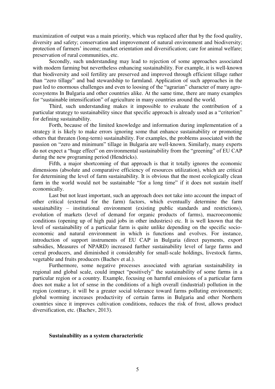maximization of output was a main priority, which was replaced after that by the food quality, diversity and safety; conservation and improvement of natural environment and biodiversity; protection of farmers' income; market orientation and diversification; care for animal welfare; preservation of rural communities, etc.

Secondly, such understanding may lead to rejection of some approaches associated with modern farming but nevertheless enhancing sustainability. For example, it is well-known that biodiversity and soil fertility are preserved and improved through efficient tillage rather than "zero tillage" and bad stewardship to farmland. Application of such approaches in the past led to enormous challenges and even to loosing of the "agrarian" character of many agroecosystems In Bulgaria and other countries alike. At the same time, there are many examples for "sustainable intensification" of agriculture in many countries around the world.

Third, such understanding makes it impossible to evaluate the contribution of a particular strategy to sustainability since that specific approach is already used as a "criterion" for defining sustainability.

Forth, because of the limited knowledge and information during implementation of a strategy it is likely to make errors ignoring some that enhance sustainability or promoting others that threaten (long-term) sustainability. For examples, the problems associated with the passion on "zero and minimum" tillage in Bulgaria are well-known. Similarly, many experts do not expect a "huge effect" on environmental sustainability from the "greening" of EU CAP during the new programing period (Hendricks).

Fifth, a major shortcoming of that approach is that it totally ignores the economic dimensions (absolute and comparative efficiency of resources utilization), which are critical for determining the level of farm sustainability. It is obvious that the most ecologically clean farm in the world would not be sustainable "for a long time" if it does not sustain itself economically.

Last but not least important, such an approach does not take into account the impact of other critical (external for the farm) factors, which eventually determine the farm sustainability – institutional environment (existing public standards and restrictions), evolution of markets (level of demand for organic products of farms), macroeconomic conditions (opening up of high paid jobs in other industries) etc. It is well known that the level of sustainability of a particular farm is quite unlike depending on the specific socioeconomic and natural environment in which is functions and evolves. For instance, introduction of support instruments of EU CAP in Bulgaria (direct payments, export subsidies, Measures of NPARD) increased further sustainability level of large farms and cereal producers, and diminished it considerably for small-scale holdings, livestock farms, vegetable and fruits producers (Bachev et al.).

Furthermore, some negative processes associated with agrarian sustainability in regional and global scale, could impact "positively" the sustainability of some farms in a particular region or a country. Example, focusing on harmful emissions of a particular farm does not make a lot of sense in the conditions of a high overall (industrial) pollution in the region (contrary, it will be a greater social tolerance toward farms polluting environment); global worming increases productivity of certain farms in Bulgaria and other Northern countries since it improves cultivation conditions, reduces the risk of frost, allows product diversification, etc. (Bachev, 2013).

#### **Sustainability as a system characteristic**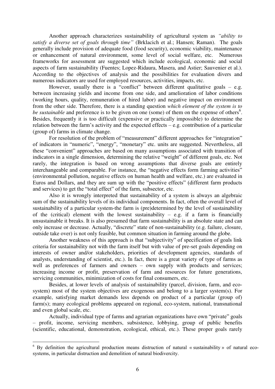Another approach characterizes sustainability of agricultural system as *"ability to satisfy a diverse set of goals through time"* (Brklacich et al.; Hansen; Raman). The goals generally include provision of adequate food (food security), economic viability, maintenance or enhancement of natural environment, some level of social welfare, etc. Numerous frameworks for assessment are suggested which include ecological, economic and social aspects of farm sustainability (Fuentes; Lopez-Ridaura, Masera, and Astier; Sauvenier et al.). According to the objectives of analysis and the possibilities for evaluation divers and numerous indicators are used for employed resources, activities, impacts, etc.

However, usually there is a "conflict" between different qualitative goals  $-$  e.g. between increasing yields and income from one side, and amelioration of labor conditions (working hours, quality, remuneration of hired labor) and negative impact on environment from the other side. Therefore, there is a standing question *which element of the system is to*  be sustainable and preference is to be given on one (some) of them on the expense of others<sup>6</sup>. Besides, frequently it is too difficult (expensive or practically impossible) to determine the relation between the farm's activity and the expected effects – e.g. contribution of a particular (group of) farms in climate change.

For resolution of the problem of "measurement" different approaches for "integration" of indicators in "numeric", "energy", "monetary" etc. units are suggested. Nevertheless, all these "convenient" approaches are based on many assumptions associated with transition of indicators in a single dimension, determining the relative "weight" of different goals, etc. Not rarely, the integration is based on wrong assumptions that diverse goals are entirely interchangeable and comparable. For instance, the "negative effects form farming activities" (environmental pollution, negative effects on human health and welfare, etc.) are evaluated in Euros and Dollars, and they are sum up with the "positive effects" (different farm products and services) to get the "total effect" of the farm, subsector, etc.

Also it is wrongly interpreted that sustainability of a system is always an algebraic sum of the sustainability levels of its individual components. In fact, often the overall level of sustainability of a particular system-the farm is (pre)determined by the level of sustainability of the (critical) element with the lowest sustainability – e.g. if a farm is financially unsustainable it breaks. It is also presumed that farm sustainability is an absolute state and can only increase or decrease. Actually, "discrete" state of non-sustainability (e.g. failure, closure, outside take over) is not only feasible, but common situation in farming around the globe.

Another weakness of this approach is that "subjectivity" of specification of goals link criteria for sustainability not with the farm itself but with value of pre-set goals depending on interests of owner and/or stakeholders, priorities of development agencies, standards of analysts, understanding of scientist, etc.). In fact, there is a great variety of type of farms as well as preferences of farmers and owners – own supply with products and services; increasing income or profit, preservation of farm and resources for future generations, servicing communities, minimization of costs for final consumers, etc.

Besides, at lower levels of analysis of sustainability (parcel, division, farm, and ecosystem) most of the system objectives are exogenous and belong to a larger system(s). For example, satisfying market demands less depends on product of a particular (group of) farm(s); many ecological problems appeared on regional, eco-system, national, transnational and even global scale, etc.

Actually, individual type of farms and agrarian organizations have own "private" goals – profit, income, servicing members, subsistence, lobbying, group of public benefits (scientific, educational, demonstration, ecological, ethical, etc.). These proper goals rarely

 $6$  By definition the agricultural production means distruction of natural « sustainability » of natural ecosystems, in particular distruction and demolition of natural biodivercity.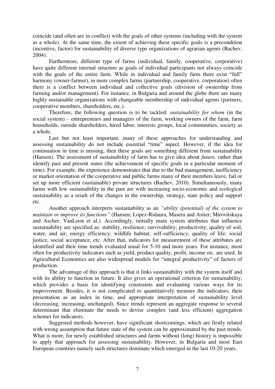coincide (and often are in conflict) with the goals of other systems (including with the system as a whole). At the same time, the extent of achieving these specific goals is a precondition (incentive, factor) for sustainability of diverse type organizations of agrarian agents (Bachev, 2004).

Furthermore, different type of farms (individual, family, cooperative, corporative) have quite different internal structure as goals of individual participants not always coincide with the goals of the entire farm. While in individual and family farm there exist "full" harmony (owner-farmer), in more complex farms (partnership, cooperative, corporation) often there is a conflict between individual and collective goals (division of ownership from farming and/or management). For instance, in Bulgaria and around the globe there are many highly sustainable organizations with changeable membership of individual agents (partners, cooperative members, shareholders, etc.).

Therefore, the following question is to be tackled: *sustainability for whom* (in the social system) – entrepreneurs and managers of the farm, working owners of the farm, farm households, outside shareholders, hired labor, interests groups, local communities, society as a whole.

Last but not least important, many of these approaches for understanding and assessing sustainability do not include essential "time" aspect. However, if the idea for continuation in time is missing, then these goals are something different from sustainability (Hansen). The assessment of sustainability of farm has to give idea about *future,* rather than identify past and present states (the achievement of specific goals in a particular moment of time). For example, the experience demonstrates that due to the bad management, inefficiency or market orientation of the cooperative and public farms many of their members leave, fail or set up more efficient (sustainable) private structures (Bachev, 2010). Simultaneously, many farms with low sustainability in the past are with increasing socio-economic and ecological sustainability as a result of the changes in the ownership, strategy, state policy and support etc.

Another approach interprets sustainability as an *"ability (potential) of the system to maintain or improve its functions"* (Hansen; Lopez-Ridaura, Masera and Astier; Mirovitskaya and Ascher; VanLoon et al*.*). Accordingly, initially main system attributes that influence sustainability are specified as: stability, resilience; survivability; productivity; quality of soil, water, and air; energy efficiency; wildlife habitat; self-sufficiency; quality of life; social justice, social acceptance, etc. After that, indicators for measurement of these attributes are identified and their time trends evaluated usual for 5-10 and more years. For instance, most often for productivity indicators such as yield, product quality, profit, income etc. are used. In Agricultural Economics are also widespread models for "integral productivity" of factors of production.

The advantage of this approach is that it links sustainability with the system itself and with its ability to function in future. It also gives an operational criterion for sustainability, which provides a basis for identifying constraints and evaluating various ways for its improvement. Besides, it is not complicated to quantitatively measure the indicators, their presentation as an index in time, and appropriate interpretation of sustainability level (decreasing, increasing, unchanged). Since trends represent an aggregate response to several determinant that eliminate the needs to devise complex (and less efficient) aggregation schemes for indicators.

Suggested methods however, have significant shortcomings, which are firstly related with wrong assumption that future state of the system can be approximated by the past trends. What is more, for newly established structures and farms without (long) history is impossible to apply that approach for assessing sustainability. However, in Bulgaria and most East European countries namely such structures dominate which emerged in the last 10-20 years.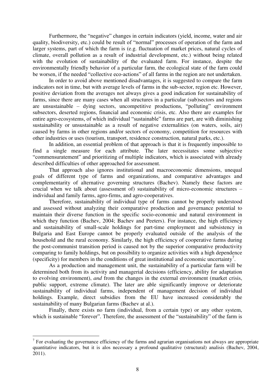Furthermore, the "negative" changes in certain indicators (yield, income, water and air quality, biodiversity, etc.) could be result of "normal" processes of operation of the farm and larger systems, part of which the farm is (e.g. fluctuation of market prices, natural cycles of climate, overall pollution as a result of industrial development, etc.) without being related with the evolution of sustainability of the evaluated farm. For instance, despite the environmentally friendly behavior of a particular farm, the ecological state of the farm could be worsen, if the needed "collective eco-actions" of all farms in the region are not undertaken.

In order to avoid above mentioned disadvantages, it is suggested to compare the farm indicators not in time, but with average levels of farms in the sub-sector, region etc. However, positive deviation from the averages not always gives a good indication for sustainability of farms, since there are many cases when all structures in a particular (sub)sectors and regions are unsustainable – dying sectors, uncompetitive productions, "polluting" environment subsectors, deserted regions, financial and economic crisis, etc. Also there are examples for entire agro-ecosystems, of which individual "sustainable" farms are part, are with diminishing sustainability or unsustainable as a result of negative externalities (on waters, soils, air) caused by farms in other regions and/or sectors of economy, competition for resources with other industries or uses (tourism, transport, residence construction, natural parks, etc.).

In addition, an essential problem of that approach is that it is frequently impossible to find a single measure for each attribute. The later necessitates some subjective "commensuratement" and prioritizing of multiple indicators, which is associated with already described difficulties of other approached for assessment.

That approach also ignores institutional and macroeconomic dimensions, unequal goals of different type of farms and organizations, and comparative advantages and complementarity of alternative governing structures (Bachev). Namely these factors are crucial when we talk about (assessment of) sustainability of micro-economic structures – individual and family farms, agro-firms, and agro-cooperatives.

Therefore, sustainability of individual type of farms cannot be properly understood and assessed without analyzing their comparative production and governance potential to maintain their diverse function in the specific socio-economic and natural environment in which they function (Bachev, 2004; Bachev and Peeters). For instance, the high efficiency and sustainability of small-scale holdings for part-time employment and subsistency in Bulgaria and East Europe cannot be properly evaluated outside of the analysis of the household and the rural economy. Similarly, the high efficiency of cooperative farms during the post-communist transition period is caused not by the superior comparative productivity comparing to family holdings, but on possibility to organize activities with a high dependence (specificity) for members in the conditions of great institutional and economic uncertainty<sup>7</sup> .

As a production and management unit, the sustainability of a particular farm will be determined both from its activity and managerial decisions (efficiency, ability for adaptation to evolving environment), *and* from the changes in the external environment (market crisis, public support, extreme climate). The later are able significantly improve or deteriorate sustainability of individual farms, independent of management decision of individual holdings. Example, direct subsidies from the EU have increased considerably the sustainability of many Bulgarian farms (Bachev at al.).

Finally, there exists no farm (individual, from a certain type) or any other system, which is sustainable "forever". Therefore, the assessment of the "sustainability" of the farm is

<sup>&</sup>lt;sup>7</sup> For evaluating the governance efficiency of the farms and agrarian organisations not always are appropriate quantitative indicators, but it is alos necessary a profound qualitative (structural) analisis (Bachev, 2004, 2011).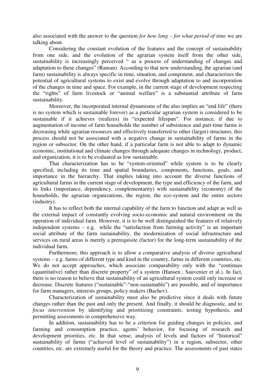also associated with the answer to the question *for how long – for what period of time* we are talking about.

Considering the constant evolution of the features and the concept of sustainability from one side, and the evolution of the agrarian system itself from the other side, sustainability is increasingly perceived " as a process of understanding of changes and adaptation to these changes" (Raman). According to that new understanding, the agrarian (and farm) sustainability is always specific in time, situation, and component, and characterizes the potential of agricultural systems to exist and evolve through adaptation to and incorporation of the changes in time and space. For example, in the current stage of development respecting the "rights" of farm livestock or "animal welfare" is a substantial attribute of farm sustainability.

Moreover, the incorporated internal dynamisms of the also implies an "end life" (there is no system which is sustainable forever) as a particular agrarian system is considered to be sustainable if it achieves (realizes) its "expected lifespan". For instance, if due to augmentation of income of farm households the number of subsistence and part-time farms is decreasing while agrarian resources and effectively transferred to other (larger) structures, this process should not be associated with a negative change in sustainability of farms in the region or subsector. On the other hand, if a particular farm is not able to adapt to dynamic economic, institutional and climate changes through adequate changes in technology, product, and organization, it is to be evaluated as low sustainable.

That characterization has to be "system-oriented" while system is to be clearly specified, including its time and spatial boundaries, components, functions, goals, and importance in the hierarchy. That implies taking into account the diverse functions of agricultural farms in the current stage of development, the type and efficiency of the farm, and its links (importance, dependency, complementarity) with sustainability (economy) of the households, the agrarian organizations, the region, the eco-system and the entire sectors (industry).

It has to reflect both the internal capability of the farm to function and adapt as well as the external impact of constantly evolving socio-economic and natural environment on the operation of individual farm. However, it is to be well distinguished the features of relatively independent systems  $-$  e.g. while the "satisfaction from farming activity" is an important social attribute of the farm sustainability, the modernization of social infrastructure and services on rural areas is merely a prerequisite (factor) for the long-term sustainability of the individual farm.

Furthermore, this approach is to allow a comparative analysis of diverse agricultural systems – e.g. farms of different type and kind in the country, farms in different countries, etc. We do not accept approaches, which associate comparability only with the "continues" (quantitative) rather than discrete property" of a system (Hansen ; Sauvenier et al.). In fact, there is no reason to believe that sustainability of an agricultural system could only increase or decrease. Discrete features ("sustainable"-"non-sustainable") are possible, and of importance for farm managers, interests groups, policy makers (Bachev).

Characterization of sustainability must also be predictive since it deals with future changes rather than the past and only the present. And finally, it should be diagnostic, and to *focus intervention* by identifying and prioritizing constraints, testing hypothesis, and permitting assessments in comprehensive way.

In addition, sustainability has to be a criterion for guiding changes in policies, and farming and consumption practice, agents' behavior, for focusing of research and development priorities, etc. In that sense, analysis of levels and factors of "historical" sustainability of farms ("achieved level of sustainability") in a region, subsector, other countries, etc. are extremely useful for the theory and practice. The assessments of past states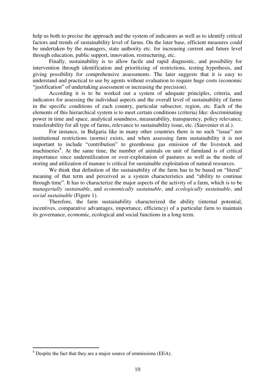help us both to precise the approach and the system of indicators as well as to identify critical factors and trends of sustainability level of farms. On the later base, efficient measures could be undertaken by the managers, state authority etc. for increasing current and future level through education, public support, innovation, restructuring, etc.

Finally, sustainability is to allow facile and rapid diagnostic, and possibility for intervention through identification and prioritizing of restrictions, testing hypothesis, and giving possibility for comprehensive assessments. The later suggests that it is easy to understand and practical to use by agents without evaluation to require huge costs (economic "justification" of undertaking assessment or increasing the precision).

According it is to be worked out a system of adequate principles, criteria, and indicators for assessing the individual aspects and the overall level of sustainability of farms in the specific conditions of each country, particular subsector, region, etc. Each of the elements of this hierarchical system is to meet certain conditions (criteria) like: discriminating power in time and space, analytical soundness, measurability, transparency, policy relevance, transferability for all type of farms, relevance to sustainability issue, etc. (Sauvenier et al.).

For instance, in Bulgaria like in many other countries there is no such "issue" nor institutional restrictions (norms) exists, and when assessing farm sustainability it is not important to include "contribution" to greenhouse gas emission of the livestock and machineries<sup>8</sup>. At the same time, the number of animals on unit of farmland is of critical importance since underutilization or over-exploitation of pastures as well as the mode of storing and utilization of manure is critical for sustainable exploitation of natural resources.

We think that definition of the sustainability of the farm has to be based on "literal" meaning of that term and perceived as a system characteristics and "ability to continue through time". It has to characterize the major aspects of the activity of a farm, which is to be *managerially sustainable*, and *economically sustainable*, and *ecologically sustainable*, and *social sustainable* (Figure 1).

Therefore, the farm sustainability characterized the ability (internal potential, incentives, comparative advantages, importance, efficiency) of a particular farm to maintain its governance, economic, ecological and social functions in a long-term.

 $8$  Despite the fact that they are a major source of emmissions (EEA).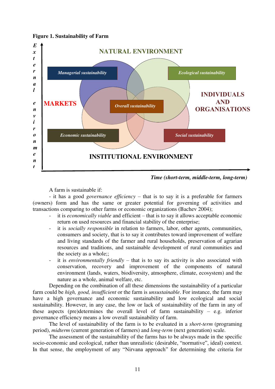# **Figure 1. Sustainability of Farm**



*Time (short-term, middle-term, long-term)* 

A farm is sustainable if:

- it has a good *governance efficiency –* that is to say it is a preferable for farmers (owners) form and has the same or greater potential for governing of activities and transactions comparing to other farms or economic organizations (Bachev 2004); *е с* р<br>!

- it is *economically viable* and efficient that is to say it allows acceptable economic return on used resources and financial stability of the enterprise;
- it is *socially responsible* in relation to farmers, labor, other agents, communities, consumers and society, that is to say it contributes toward improvement of welfare and living standards of the farmer and rural households, preservation of agrarian resources and traditions, and sustainable development of rural communities and the society as a whole;;
- it is *environmentally friendly*  that is to say its activity is also associated with conservation, recovery and improvement of the components of natural environment (lands, waters, biodiversity, atmosphere, climate, ecosystem) and the nature as a whole, animal welfare, etc.

Depending on the combination of all these dimensions the sustainability of a particular farm could be *high, good, insufficient* or the farm is *unsustainable*. For instance, the farm may have a high governance and economic sustainability and low ecological and social sustainability. However, in any case, the low or lack of sustainability of the farm in any of these aspects (pre)determines the overall level of farm sustainability – e.g. inferior governance efficiency means a low overall sustainability of farm.

The level of sustainability of the farm is to be evaluated in a *short-term* (programing period), *midterm* (current generation of farmers) and *long-term* (next generation) scale.

The assessment of the sustainability of the farms has to be always made in the specific socio-economic and ecological, rather than unrealistic (desirable, "normative", ideal) context. In that sense, the employment of any "Nirvana approach" for determining the criteria for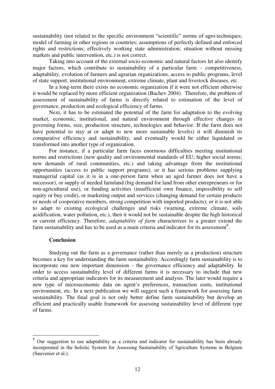sustainability (not related to the specific environment "scientific" norms of agro-techniques; model of farming in other regions or countries; assumptions of perfectly defined and enforced rights and restrictions; effectively working state administration; situation without missing markets and public intervention, etc.) is not correct.

Taking into account of the external socio-economic and natural factors let also identify major factors, which contribute to sustainability of a particular farm – competitiveness, adaptability, evolution of farmers and agrarian organizations, access to public programs, level of state support, institutional environment, extreme climate, plant and livestock diseases, etc.

In a long-term there exists no economic organization if it were not efficient otherwise it would be replaced by more efficient organization (Bachev 2004). Therefore, the problem of assessment of sustainability of farms is directly related to estimation of the level of governance, production and ecological efficiency of farms.

Next, it has to be estimated the potential of the farm for adaptation to the evolving market, economic, institutional, and natural environment through effective changes in governing forms, size, production structure, technologies and behavior. If the farm does not have potential to stay at or adapt to new more sustainable level(s) it will diminish its comparative efficiency and sustainability, and eventually would be either liquidated or transformed into another type of organization.

For instance, if a particular farm faces enormous difficulties meeting institutional norms and restrictions (new quality and environmental standards of EU; higher social norms; new demands of rural communities, etc.) and taking advantage from the institutional opportunities (access to public support programs); or it has serious problems supplying managerial capital (as it is in a one-person farm when an aged farmer does not have a successor), or supply of needed farmland (big demand for land from other entrepreneurs or for non-agricultural use), or funding activities (insufficient own finance, impossibility to sell equity or buy credit), or marketing output and services (changing demand for certain products or needs of cooperative members, strong competition with imported products); or it is not able to adapt to existing ecological challenges and risks (warning, extreme climate, soils acidification, water pollution, etc.), then it would not be sustainable despite the high historical or current efficiency. Therefore, *adaptability of farm* characterizes to a greater extend the farm sustainability and has to be used as a main criteria and indicator for its assessment<sup>9</sup>.

### **Conclusion**

 $\overline{a}$ 

Studying out the farm as a governance (rather than merely as a production) structure becomes a key for understanding the farm sustainability. Accordingly farm sustainability is to incorporate one new important dimension – the governance efficiency and adaptability. In order to access sustainability level of different farms it is necessary to include that new criteria and appropriate indicators for its measurement and analysis. The later would require a new type of microeconomic data on agent's preferences, transaction costs, institutional environment, etc. In a next publication we will suggest such a framework for assessing farm sustainability. The final goal is not only better define farm sustainability but develop an efficient and practically usable framework for assessing sustainability level of different type of farms.

<sup>9</sup> Our suggestion to use adaptability as a criteria and indicator for sustainability has been already incorporated in the holistic System for Assessing Sustainability of Sgriculture Systems in Belgium (Sauvenier et al.).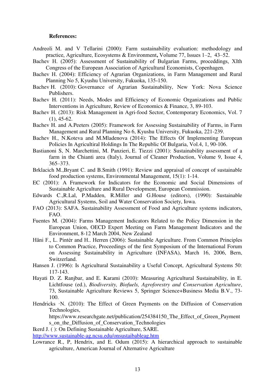#### **References:**

- [Andreoli](http://www.sciencedirect.com/science/article/pii/S0167880999000912) M. and [V Tellarini](http://www.sciencedirect.com/science/article/pii/S0167880999000912) (2000): Farm sustainability evaluation: methodology and practice, [Agriculture, Ecosystems & Environment](http://www.sciencedirect.com/science/journal/01678809)**,** [Volume 77, Issues 1](http://www.sciencedirect.com/science/journal/01678809/77/1)–2, 43–52.
- Bachev H. (2005): Assessment of Sustainability of Bulgarian Farms, proceddings, XIth Congress of the European Association of Agricultural Economists, Copenhagen.
- Bachev H. (2004): Efficiency of Agrarian Organizations, in Farm Management and Rural Planning No 5, Kyushu University, Fukuoka, 135-150.
- Bachev H. (2010): Governance of Agrarian Sustainability, New York: Nova Science Publishers.
- Bachev H. (2011): Needs, Modes and Efficiency of Economic Organizations and Public Interventions in Agriculture, Review of Economics & Finance, 3, 89-103.
- Bachev H. (2013): Risk Management in Agri-food Sector, Contemporary Economics, Vol. 7 (1), 45-62.
- Bachev H. and A.Peeters (2005): Framework for Assessing Sustainability of Farms, in Farm Management and Rural Planning No 6, Kyushu University, Fukuoka, 221-239.
- Bachev H., N.Koteva and M.Mladenova (2014): The Effects Of Implementing European Policies In Agricultiral Holdings In The Republic Of Bulgaria, Vol.4, 1, 90-106.
- [Bastianoni](http://www.sciencedirect.com/science/article/pii/S0959652600000792) S, [N. Marchettini, M. Panzieri, E. Tiezzi](http://www.sciencedirect.com/science/article/pii/S0959652600000792) (2001): Sustainability assessment of a farm in the Chianti area (Italy), [Journal of Cleaner Production,](http://www.sciencedirect.com/science/journal/09596526) [Volume 9, Issue 4,](http://www.sciencedirect.com/science/journal/09596526/9/4) 365–373.
- Brklacich M.,Bryant C. and B.Smith (1991): Review and appraisal of concept of sustainable food production systems, Environmental Management, 15(1): 1-14.
- EC (2001): A Framework for Indicators for the Economic and Social Dimensions of Sustainable Agriculture and Rural Development, European Commission.
- Edwards C.,R.Lal, P.Madden, R.Miller and G.House (editors), (1990): Sustainable Agricultural Systems, Soil and Water Conservation Society, Iowa.
- FAO (2013): SAFA. Sustainability Assessment of Food and Agriculture systems indicators, FAO.
- Fuentes M. (2004): Farms Management Indicators Related to the Policy Dimension in the European Union, OECD Expert Meeting on Farm Management Indicators and the Environment, 8-12 March 2004, New Zealand
- Häni F., L. Pintér and H.. Herren (2006): Sustainable Agriculture. From Common Principles to Common Practice, Proceedings of the first Symposium of the International Forum on Assessing Sustainability in Agriculture (INFASA), March 16, 2006, Bern, Switzerland.
- Hansen J. (1996): Is Agricultural Sustainability a Useful Concept, Agricultural Systems 50: 117-143.
- Hayati D. Z. Ranjbar, and E. Karami (2010): Measuring Agricultural Sustainability, in E. Lichtfouse (ed.), *Biodiversity, Biofuels, Agroforestry and Conservation Agriculture*, 73, Sustainable Agriculture Reviews 5, Springer Science+Business Media B.V., 73- 100.
- Hendricks ·N. (2010): The Effect of Green Payments on the Diffusion of Conservation [Technologies,](https://www.researchgate.net/publication/254384150_The_Effect_of_Green_Payments_on_the_Diffusion_of_Conservation_Technologies?ev=auth_pub)

https://www.researchgate.net/publication/254384150 The Effect of Green Payment s\_on\_the\_Diffusion\_of\_Conservation\_Technologies

Ikerd J. ( ): On Defining Sustainable Agriculture, SARE.

<http://www.sustainable-ag.ncsu.edu/onsustaibableag.htm>

Lowrance R., P, Hendrix, and E. Odum (2015): A hierarchical approach to sustainable agriculture, American Journal of Alternative Agriculture